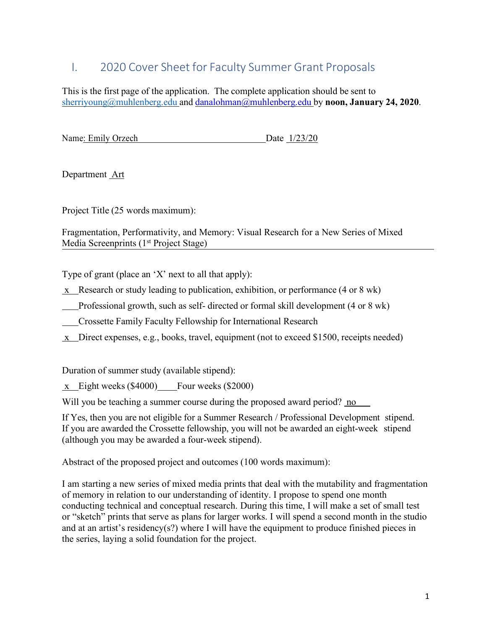# I. 2020 Cover Sheet for Faculty Summer Grant Proposals

This is the first page of the application. The complete application should be sent to sherriyoung@muhlenberg.edu and danalohman@muhlenberg.edu by noon, January 24, 2020.

Name: Emily Orzech Date 1/23/20

Department Art

Project Title (25 words maximum):

Fragmentation, Performativity, and Memory: Visual Research for a New Series of Mixed Media Screenprints (1<sup>st</sup> Project Stage)

Type of grant (place an 'X' next to all that apply):

- x Research or study leading to publication, exhibition, or performance (4 or 8 wk)
- Professional growth, such as self- directed or formal skill development (4 or 8 wk)
- Crossette Family Faculty Fellowship for International Research
- x Direct expenses, e.g., books, travel, equipment (not to exceed \$1500, receipts needed)

Duration of summer study (available stipend):

x Eight weeks (\$4000) Four weeks (\$2000)

Will you be teaching a summer course during the proposed award period? no

If Yes, then you are not eligible for a Summer Research / Professional Development stipend. If you are awarded the Crossette fellowship, you will not be awarded an eight-week stipend (although you may be awarded a four-week stipend).

Abstract of the proposed project and outcomes (100 words maximum):

I am starting a new series of mixed media prints that deal with the mutability and fragmentation of memory in relation to our understanding of identity. I propose to spend one month conducting technical and conceptual research. During this time, I will make a set of small test or "sketch" prints that serve as plans for larger works. I will spend a second month in the studio and at an artist's residency(s?) where I will have the equipment to produce finished pieces in the series, laying a solid foundation for the project.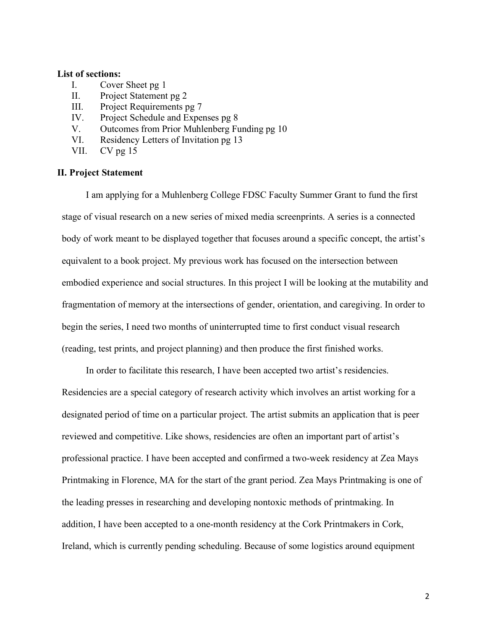### List of sections:

- I. Cover Sheet pg 1
- II. Project Statement pg 2
- III. Project Requirements pg 7
- IV. Project Schedule and Expenses pg 8
- V. Outcomes from Prior Muhlenberg Funding pg 10
- VI. Residency Letters of Invitation pg 13
- VII. CV pg 15

### II. Project Statement

I am applying for a Muhlenberg College FDSC Faculty Summer Grant to fund the first stage of visual research on a new series of mixed media screenprints. A series is a connected body of work meant to be displayed together that focuses around a specific concept, the artist's equivalent to a book project. My previous work has focused on the intersection between embodied experience and social structures. In this project I will be looking at the mutability and fragmentation of memory at the intersections of gender, orientation, and caregiving. In order to begin the series, I need two months of uninterrupted time to first conduct visual research (reading, test prints, and project planning) and then produce the first finished works.

In order to facilitate this research, I have been accepted two artist's residencies. Residencies are a special category of research activity which involves an artist working for a designated period of time on a particular project. The artist submits an application that is peer reviewed and competitive. Like shows, residencies are often an important part of artist's professional practice. I have been accepted and confirmed a two-week residency at Zea Mays Printmaking in Florence, MA for the start of the grant period. Zea Mays Printmaking is one of the leading presses in researching and developing nontoxic methods of printmaking. In addition, I have been accepted to a one-month residency at the Cork Printmakers in Cork, Ireland, which is currently pending scheduling. Because of some logistics around equipment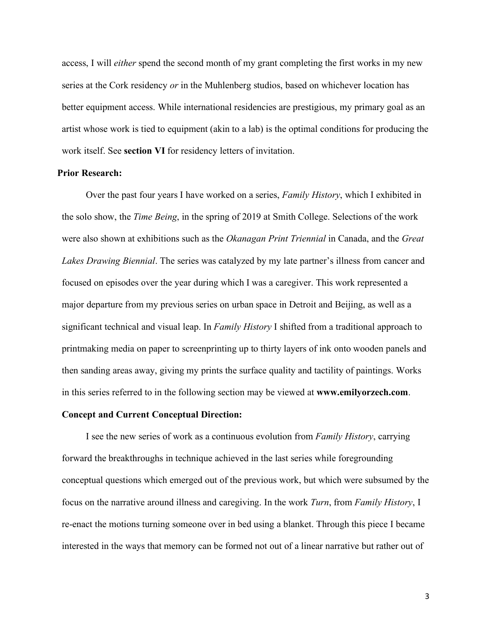access, I will *either* spend the second month of my grant completing the first works in my new series at the Cork residency *or* in the Muhlenberg studios, based on whichever location has better equipment access. While international residencies are prestigious, my primary goal as an artist whose work is tied to equipment (akin to a lab) is the optimal conditions for producing the work itself. See section VI for residency letters of invitation.

### Prior Research:

Over the past four years I have worked on a series, *Family History*, which I exhibited in the solo show, the *Time Being*, in the spring of 2019 at Smith College. Selections of the work were also shown at exhibitions such as the *Okanagan Print Triennial* in Canada, and the *Great* Lakes Drawing Biennial. The series was catalyzed by my late partner's illness from cancer and focused on episodes over the year during which I was a caregiver. This work represented a major departure from my previous series on urban space in Detroit and Beijing, as well as a significant technical and visual leap. In Family History I shifted from a traditional approach to printmaking media on paper to screenprinting up to thirty layers of ink onto wooden panels and then sanding areas away, giving my prints the surface quality and tactility of paintings. Works in this series referred to in the following section may be viewed at www.emilyorzech.com.

### Concept and Current Conceptual Direction:

I see the new series of work as a continuous evolution from Family History, carrying forward the breakthroughs in technique achieved in the last series while foregrounding conceptual questions which emerged out of the previous work, but which were subsumed by the focus on the narrative around illness and caregiving. In the work Turn, from Family History, I re-enact the motions turning someone over in bed using a blanket. Through this piece I became interested in the ways that memory can be formed not out of a linear narrative but rather out of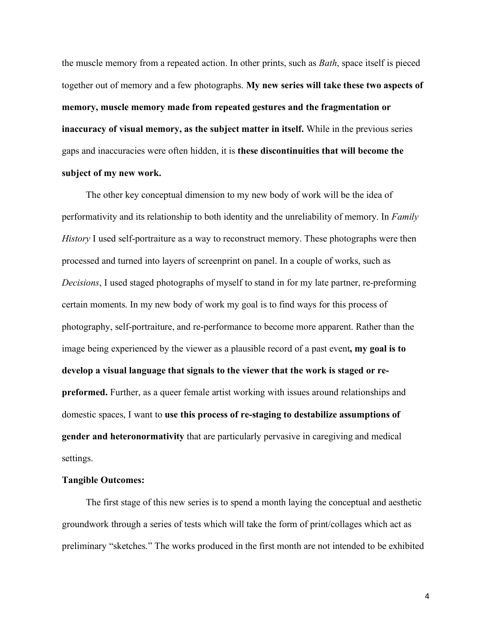the muscle memory from a repeated action. In other prints, such as *Bath*, space itself is pieced together out of memory and a few photographs. My new series will take these two aspects of memory, muscle memory made from repeated gestures and the fragmentation or inaccuracy of visual memory, as the subject matter in itself. While in the previous series gaps and inaccuracies were often hidden, it is these discontinuities that will become the subject of my new work.

The other key conceptual dimension to my new body of work will be the idea of performativity and its relationship to both identity and the unreliability of memory. In Family History I used self-portraiture as a way to reconstruct memory. These photographs were then processed and turned into layers of screenprint on panel. In a couple of works, such as Decisions, I used staged photographs of myself to stand in for my late partner, re-preforming certain moments. In my new body of work my goal is to find ways for this process of photography, self-portraiture, and re-performance to become more apparent. Rather than the image being experienced by the viewer as a plausible record of a past event, my goal is to develop a visual language that signals to the viewer that the work is staged or repreformed. Further, as a queer female artist working with issues around relationships and domestic spaces, I want to use this process of re-staging to destabilize assumptions of gender and heteronormativity that are particularly pervasive in caregiving and medical settings.

### Tangible Outcomes:

The first stage of this new series is to spend a month laying the conceptual and aesthetic groundwork through a series of tests which will take the form of print/collages which act as preliminary "sketches." The works produced in the first month are not intended to be exhibited

4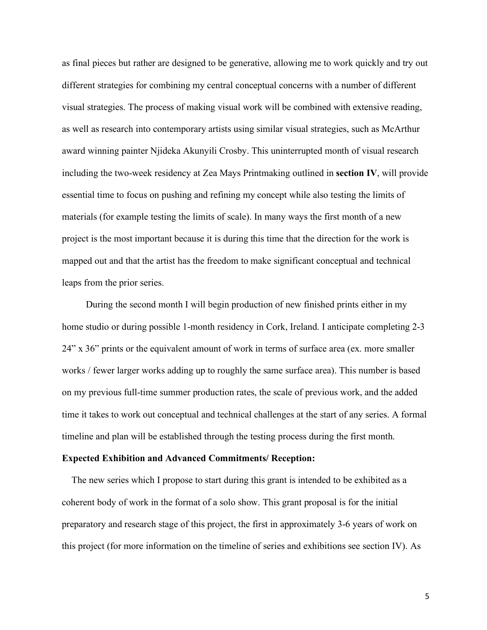as final pieces but rather are designed to be generative, allowing me to work quickly and try out different strategies for combining my central conceptual concerns with a number of different visual strategies. The process of making visual work will be combined with extensive reading, as well as research into contemporary artists using similar visual strategies, such as McArthur award winning painter Njideka Akunyili Crosby. This uninterrupted month of visual research including the two-week residency at Zea Mays Printmaking outlined in section IV, will provide essential time to focus on pushing and refining my concept while also testing the limits of materials (for example testing the limits of scale). In many ways the first month of a new project is the most important because it is during this time that the direction for the work is mapped out and that the artist has the freedom to make significant conceptual and technical leaps from the prior series.

During the second month I will begin production of new finished prints either in my home studio or during possible 1-month residency in Cork, Ireland. I anticipate completing 2-3 24" x 36" prints or the equivalent amount of work in terms of surface area (ex. more smaller works / fewer larger works adding up to roughly the same surface area). This number is based on my previous full-time summer production rates, the scale of previous work, and the added time it takes to work out conceptual and technical challenges at the start of any series. A formal timeline and plan will be established through the testing process during the first month.

#### Expected Exhibition and Advanced Commitments/ Reception:

The new series which I propose to start during this grant is intended to be exhibited as a coherent body of work in the format of a solo show. This grant proposal is for the initial preparatory and research stage of this project, the first in approximately 3-6 years of work on this project (for more information on the timeline of series and exhibitions see section IV). As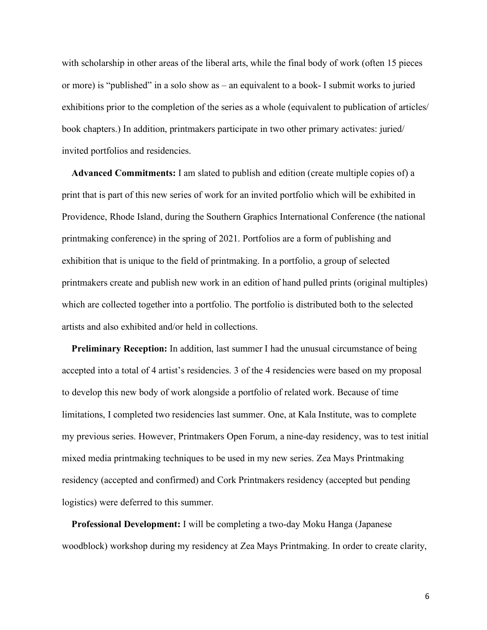with scholarship in other areas of the liberal arts, while the final body of work (often 15 pieces or more) is "published" in a solo show as – an equivalent to a book- I submit works to juried exhibitions prior to the completion of the series as a whole (equivalent to publication of articles/ book chapters.) In addition, printmakers participate in two other primary activates: juried/ invited portfolios and residencies.

Advanced Commitments: I am slated to publish and edition (create multiple copies of) a print that is part of this new series of work for an invited portfolio which will be exhibited in Providence, Rhode Island, during the Southern Graphics International Conference (the national printmaking conference) in the spring of 2021. Portfolios are a form of publishing and exhibition that is unique to the field of printmaking. In a portfolio, a group of selected printmakers create and publish new work in an edition of hand pulled prints (original multiples) which are collected together into a portfolio. The portfolio is distributed both to the selected artists and also exhibited and/or held in collections.

**Preliminary Reception:** In addition, last summer I had the unusual circumstance of being accepted into a total of 4 artist's residencies. 3 of the 4 residencies were based on my proposal to develop this new body of work alongside a portfolio of related work. Because of time limitations, I completed two residencies last summer. One, at Kala Institute, was to complete my previous series. However, Printmakers Open Forum, a nine-day residency, was to test initial mixed media printmaking techniques to be used in my new series. Zea Mays Printmaking residency (accepted and confirmed) and Cork Printmakers residency (accepted but pending logistics) were deferred to this summer.

Professional Development: I will be completing a two-day Moku Hanga (Japanese woodblock) workshop during my residency at Zea Mays Printmaking. In order to create clarity,

6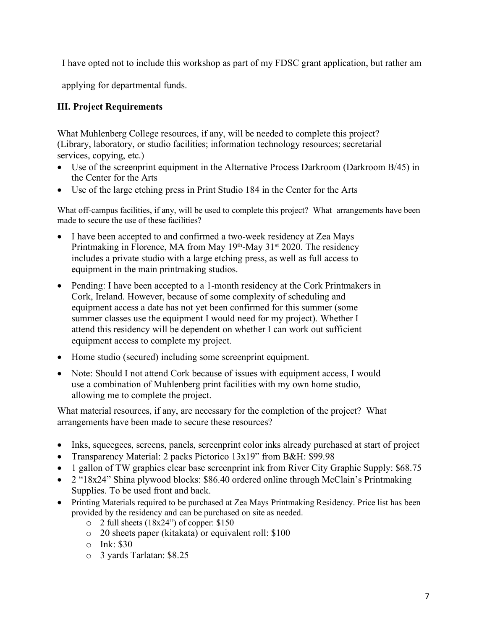I have opted not to include this workshop as part of my FDSC grant application, but rather am

applying for departmental funds.

# III. Project Requirements

What Muhlenberg College resources, if any, will be needed to complete this project? (Library, laboratory, or studio facilities; information technology resources; secretarial services, copying, etc.)

- Use of the screenprint equipment in the Alternative Process Darkroom (Darkroom B/45) in the Center for the Arts
- Use of the large etching press in Print Studio 184 in the Center for the Arts

What off-campus facilities, if any, will be used to complete this project? What arrangements have been made to secure the use of these facilities?

- I have been accepted to and confirmed a two-week residency at Zea Mays Printmaking in Florence, MA from May  $19<sup>th</sup>$ -May  $31<sup>st</sup>$  2020. The residency includes a private studio with a large etching press, as well as full access to equipment in the main printmaking studios.
- Pending: I have been accepted to a 1-month residency at the Cork Printmakers in Cork, Ireland. However, because of some complexity of scheduling and equipment access a date has not yet been confirmed for this summer (some summer classes use the equipment I would need for my project). Whether I attend this residency will be dependent on whether I can work out sufficient equipment access to complete my project.
- Home studio (secured) including some screenprint equipment.
- Note: Should I not attend Cork because of issues with equipment access, I would use a combination of Muhlenberg print facilities with my own home studio, allowing me to complete the project.

What material resources, if any, are necessary for the completion of the project? What arrangements have been made to secure these resources?

- Inks, squeegees, screens, panels, screenprint color inks already purchased at start of project
- Transparency Material: 2 packs Pictorico 13x19" from B&H: \$99.98
- 1 gallon of TW graphics clear base screenprint ink from River City Graphic Supply: \$68.75
- 2 "18x24" Shina plywood blocks: \$86.40 ordered online through McClain's Printmaking Supplies. To be used front and back.
- Printing Materials required to be purchased at Zea Mays Printmaking Residency. Price list has been provided by the residency and can be purchased on site as needed.
	- o 2 full sheets (18x24") of copper: \$150
	- o 20 sheets paper (kitakata) or equivalent roll: \$100
	- $\circ$  Ink: \$30
	- o 3 yards Tarlatan: \$8.25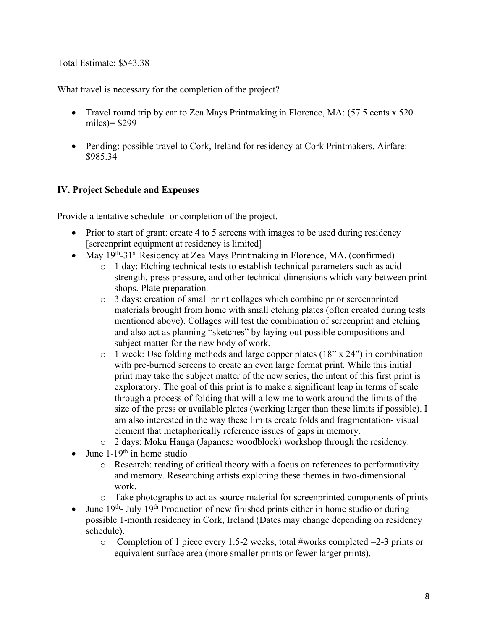Total Estimate: \$543.38

What travel is necessary for the completion of the project?

- Travel round trip by car to Zea Mays Printmaking in Florence, MA: (57.5 cents x 520) miles)= \$299
- Pending: possible travel to Cork, Ireland for residency at Cork Printmakers. Airfare: \$985.34

# IV. Project Schedule and Expenses

Provide a tentative schedule for completion of the project.

- Prior to start of grant: create 4 to 5 screens with images to be used during residency [screenprint equipment at residency is limited]
- May  $19<sup>th</sup> 31<sup>st</sup>$  Residency at Zea Mays Printmaking in Florence, MA. (confirmed)
	- o 1 day: Etching technical tests to establish technical parameters such as acid strength, press pressure, and other technical dimensions which vary between print shops. Plate preparation.
	- o 3 days: creation of small print collages which combine prior screenprinted materials brought from home with small etching plates (often created during tests mentioned above). Collages will test the combination of screenprint and etching and also act as planning "sketches" by laying out possible compositions and subject matter for the new body of work.
	- o 1 week: Use folding methods and large copper plates (18" x 24") in combination with pre-burned screens to create an even large format print. While this initial print may take the subject matter of the new series, the intent of this first print is exploratory. The goal of this print is to make a significant leap in terms of scale through a process of folding that will allow me to work around the limits of the size of the press or available plates (working larger than these limits if possible). I am also interested in the way these limits create folds and fragmentation- visual element that metaphorically reference issues of gaps in memory.
	- o 2 days: Moku Hanga (Japanese woodblock) workshop through the residency.
- June  $1-19^{th}$  in home studio
	- o Research: reading of critical theory with a focus on references to performativity and memory. Researching artists exploring these themes in two-dimensional work.
	- o Take photographs to act as source material for screenprinted components of prints
- June  $19<sup>th</sup>$  July  $19<sup>th</sup>$  Production of new finished prints either in home studio or during possible 1-month residency in Cork, Ireland (Dates may change depending on residency schedule).
	- o Completion of 1 piece every 1.5-2 weeks, total #works completed =2-3 prints or equivalent surface area (more smaller prints or fewer larger prints).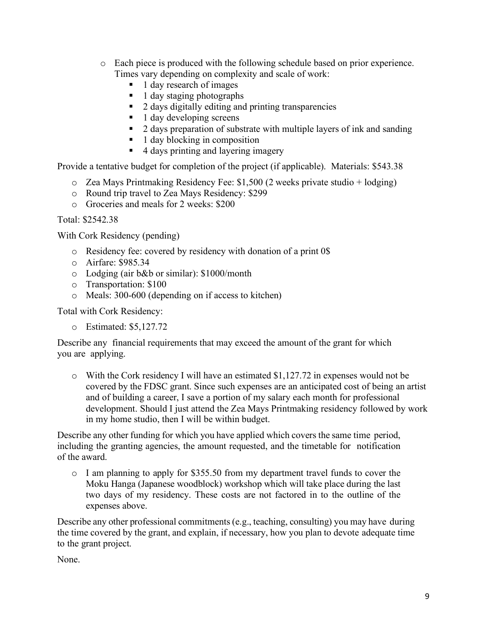- o Each piece is produced with the following schedule based on prior experience. Times vary depending on complexity and scale of work:
	- 1 day research of images
	- 1 day staging photographs
	- 2 days digitally editing and printing transparencies
	- 1 day developing screens
	- 2 days preparation of substrate with multiple layers of ink and sanding
	- 1 day blocking in composition
	- 4 days printing and layering imagery

Provide a tentative budget for completion of the project (if applicable). Materials: \$543.38

- $\circ$  Zea Mays Printmaking Residency Fee: \$1,500 (2 weeks private studio + lodging)
- o Round trip travel to Zea Mays Residency: \$299
- o Groceries and meals for 2 weeks: \$200

Total: \$2542.38

With Cork Residency (pending)

- o Residency fee: covered by residency with donation of a print 0\$
- o Airfare: \$985.34
- o Lodging (air b&b or similar): \$1000/month
- o Transportation: \$100
- o Meals: 300-600 (depending on if access to kitchen)

Total with Cork Residency:

o Estimated: \$5,127.72

Describe any financial requirements that may exceed the amount of the grant for which you are applying.

 $\circ$  With the Cork residency I will have an estimated \$1,127.72 in expenses would not be covered by the FDSC grant. Since such expenses are an anticipated cost of being an artist and of building a career, I save a portion of my salary each month for professional development. Should I just attend the Zea Mays Printmaking residency followed by work in my home studio, then I will be within budget.

Describe any other funding for which you have applied which covers the same time period, including the granting agencies, the amount requested, and the timetable for notification of the award.

o I am planning to apply for \$355.50 from my department travel funds to cover the Moku Hanga (Japanese woodblock) workshop which will take place during the last two days of my residency. These costs are not factored in to the outline of the expenses above.

Describe any other professional commitments (e.g., teaching, consulting) you may have during the time covered by the grant, and explain, if necessary, how you plan to devote adequate time to the grant project.

None.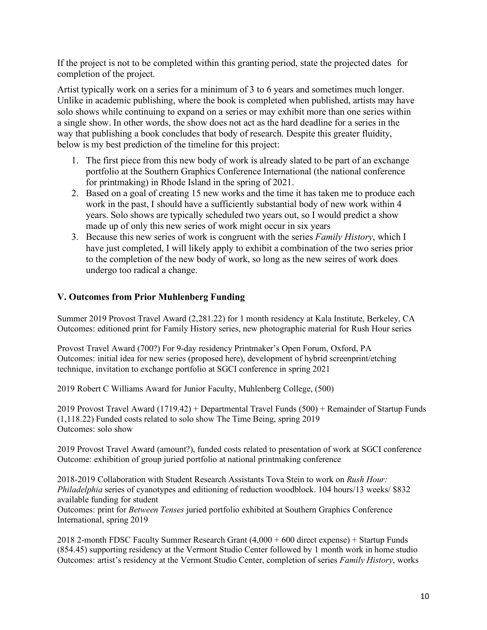If the project is not to be completed within this granting period, state the projected dates for completion of the project.

Artist typically work on a series for a minimum of 3 to 6 years and sometimes much longer. Unlike in academic publishing, where the book is completed when published, artists may have solo shows while continuing to expand on a series or may exhibit more than one series within a single show. In other words, the show does not act as the hard deadline for a series in the way that publishing a book concludes that body of research. Despite this greater fluidity, below is my best prediction of the timeline for this project:

- 1. The first piece from this new body of work is already slated to be part of an exchange portfolio at the Southern Graphics Conference International (the national conference for printmaking) in Rhode Island in the spring of 2021.
- 2. Based on a goal of creating 15 new works and the time it has taken me to produce each work in the past, I should have a sufficiently substantial body of new work within 4 years. Solo shows are typically scheduled two years out, so I would predict a show made up of only this new series of work might occur in six years
- 3. Because this new series of work is congruent with the series *Family History*, which I have just completed, I will likely apply to exhibit a combination of the two series prior to the completion of the new body of work, so long as the new seires of work does undergo too radical a change.

## V. Outcomes from Prior Muhlenberg Funding

Summer 2019 Provost Travel Award (2,281.22) for 1 month residency at Kala Institute, Berkeley, CA Outcomes: editioned print for Family History series, new photographic material for Rush Hour series

Provost Travel Award (700?) For 9-day residency Printmaker's Open Forum, Oxford, PA Outcomes: initial idea for new series (proposed here), development of hybrid screenprint/etching technique, invitation to exchange portfolio at SGCI conference in spring 2021

2019 Robert C Williams Award for Junior Faculty, Muhlenberg College, (500)

2019 Provost Travel Award (1719.42) + Departmental Travel Funds (500) + Remainder of Startup Funds (1,118.22) Funded costs related to solo show The Time Being, spring 2019 Outcomes: solo show

2019 Provost Travel Award (amount?), funded costs related to presentation of work at SGCI conference Outcome: exhibition of group juried portfolio at national printmaking conference

2018-2019 Collaboration with Student Research Assistants Tova Stein to work on Rush Hour: Philadelphia series of cyanotypes and editioning of reduction woodblock. 104 hours/13 weeks/ \$832 available funding for student

Outcomes: print for Between Tenses juried portfolio exhibited at Southern Graphics Conference International, spring 2019

2018 2-month FDSC Faculty Summer Research Grant (4,000 + 600 direct expense) + Startup Funds (854.45) supporting residency at the Vermont Studio Center followed by 1 month work in home studio Outcomes: artist's residency at the Vermont Studio Center, completion of series Family History, works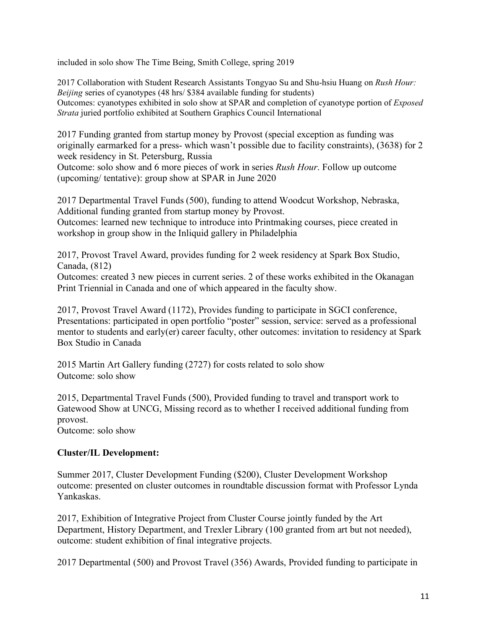included in solo show The Time Being, Smith College, spring 2019

2017 Collaboration with Student Research Assistants Tongyao Su and Shu-hsiu Huang on Rush Hour: Beijing series of cyanotypes (48 hrs/ \$384 available funding for students) Outcomes: cyanotypes exhibited in solo show at SPAR and completion of cyanotype portion of Exposed Strata juried portfolio exhibited at Southern Graphics Council International

2017 Funding granted from startup money by Provost (special exception as funding was originally earmarked for a press- which wasn't possible due to facility constraints), (3638) for 2 week residency in St. Petersburg, Russia

Outcome: solo show and 6 more pieces of work in series Rush Hour. Follow up outcome (upcoming/ tentative): group show at SPAR in June 2020

2017 Departmental Travel Funds (500), funding to attend Woodcut Workshop, Nebraska, Additional funding granted from startup money by Provost.

Outcomes: learned new technique to introduce into Printmaking courses, piece created in workshop in group show in the Inliquid gallery in Philadelphia

2017, Provost Travel Award, provides funding for 2 week residency at Spark Box Studio, Canada, (812)

Outcomes: created 3 new pieces in current series. 2 of these works exhibited in the Okanagan Print Triennial in Canada and one of which appeared in the faculty show.

2017, Provost Travel Award (1172), Provides funding to participate in SGCI conference, Presentations: participated in open portfolio "poster" session, service: served as a professional mentor to students and early(er) career faculty, other outcomes: invitation to residency at Spark Box Studio in Canada

2015 Martin Art Gallery funding (2727) for costs related to solo show Outcome: solo show

2015, Departmental Travel Funds (500), Provided funding to travel and transport work to Gatewood Show at UNCG, Missing record as to whether I received additional funding from provost.

Outcome: solo show

## Cluster/IL Development:

Summer 2017, Cluster Development Funding (\$200), Cluster Development Workshop outcome: presented on cluster outcomes in roundtable discussion format with Professor Lynda Yankaskas.

2017, Exhibition of Integrative Project from Cluster Course jointly funded by the Art Department, History Department, and Trexler Library (100 granted from art but not needed), outcome: student exhibition of final integrative projects.

2017 Departmental (500) and Provost Travel (356) Awards, Provided funding to participate in